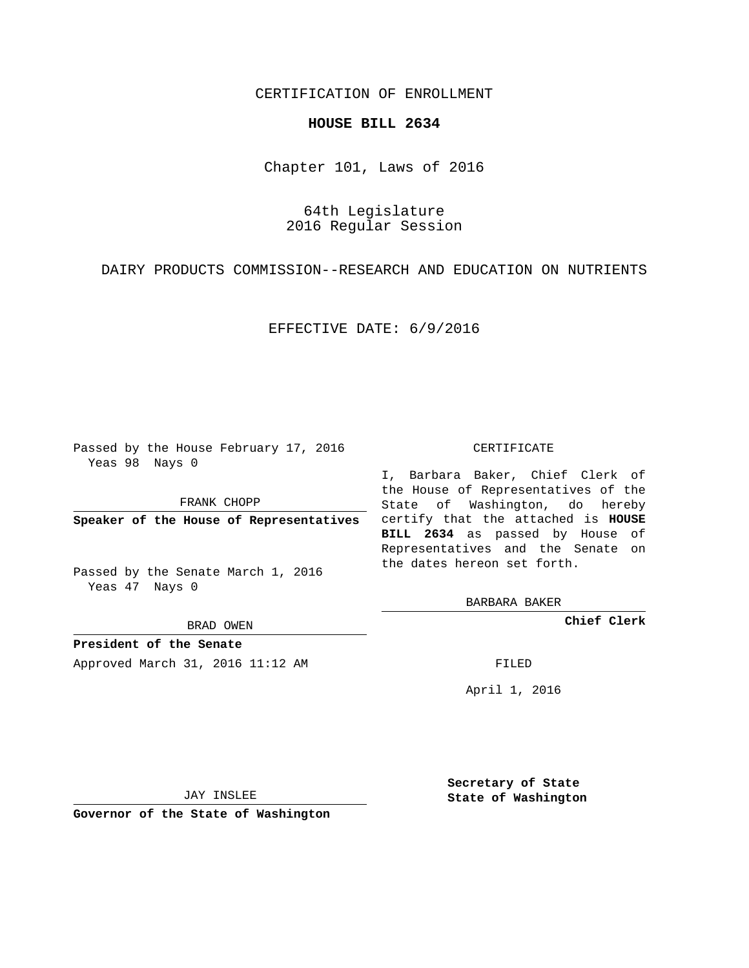## CERTIFICATION OF ENROLLMENT

## **HOUSE BILL 2634**

Chapter 101, Laws of 2016

64th Legislature 2016 Regular Session

DAIRY PRODUCTS COMMISSION--RESEARCH AND EDUCATION ON NUTRIENTS

EFFECTIVE DATE: 6/9/2016

Passed by the House February 17, 2016 Yeas 98 Nays 0

FRANK CHOPP

Passed by the Senate March 1, 2016 Yeas 47 Nays 0

BRAD OWEN

**President of the Senate**

Approved March 31, 2016 11:12 AM FILED

## CERTIFICATE

**Speaker of the House of Representatives** certify that the attached is **HOUSE** I, Barbara Baker, Chief Clerk of the House of Representatives of the State of Washington, do hereby **BILL 2634** as passed by House of Representatives and the Senate on the dates hereon set forth.

BARBARA BAKER

**Chief Clerk**

April 1, 2016

JAY INSLEE

**Governor of the State of Washington**

**Secretary of State State of Washington**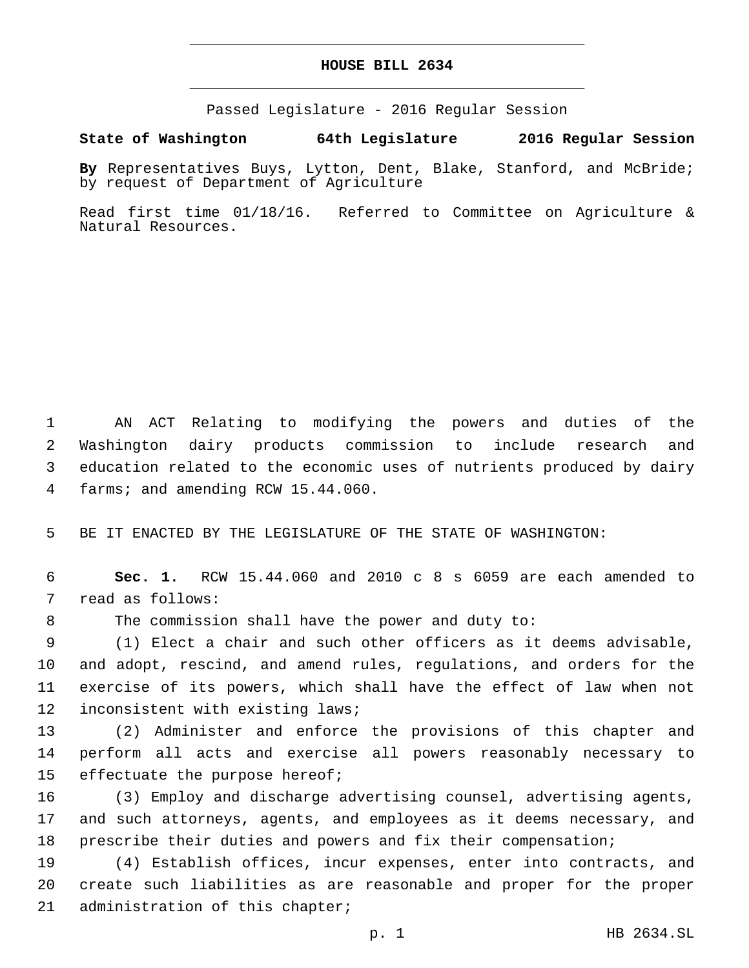## **HOUSE BILL 2634**

Passed Legislature - 2016 Regular Session

**State of Washington 64th Legislature 2016 Regular Session**

**By** Representatives Buys, Lytton, Dent, Blake, Stanford, and McBride; by request of Department of Agriculture

Read first time 01/18/16. Referred to Committee on Agriculture & Natural Resources.

 AN ACT Relating to modifying the powers and duties of the Washington dairy products commission to include research and education related to the economic uses of nutrients produced by dairy 4 farms; and amending RCW 15.44.060.

5 BE IT ENACTED BY THE LEGISLATURE OF THE STATE OF WASHINGTON:

6 **Sec. 1.** RCW 15.44.060 and 2010 c 8 s 6059 are each amended to 7 read as follows:

8 The commission shall have the power and duty to:

 (1) Elect a chair and such other officers as it deems advisable, and adopt, rescind, and amend rules, regulations, and orders for the exercise of its powers, which shall have the effect of law when not 12 inconsistent with existing laws;

13 (2) Administer and enforce the provisions of this chapter and 14 perform all acts and exercise all powers reasonably necessary to 15 effectuate the purpose hereof;

16 (3) Employ and discharge advertising counsel, advertising agents, 17 and such attorneys, agents, and employees as it deems necessary, and 18 prescribe their duties and powers and fix their compensation;

19 (4) Establish offices, incur expenses, enter into contracts, and 20 create such liabilities as are reasonable and proper for the proper 21 administration of this chapter;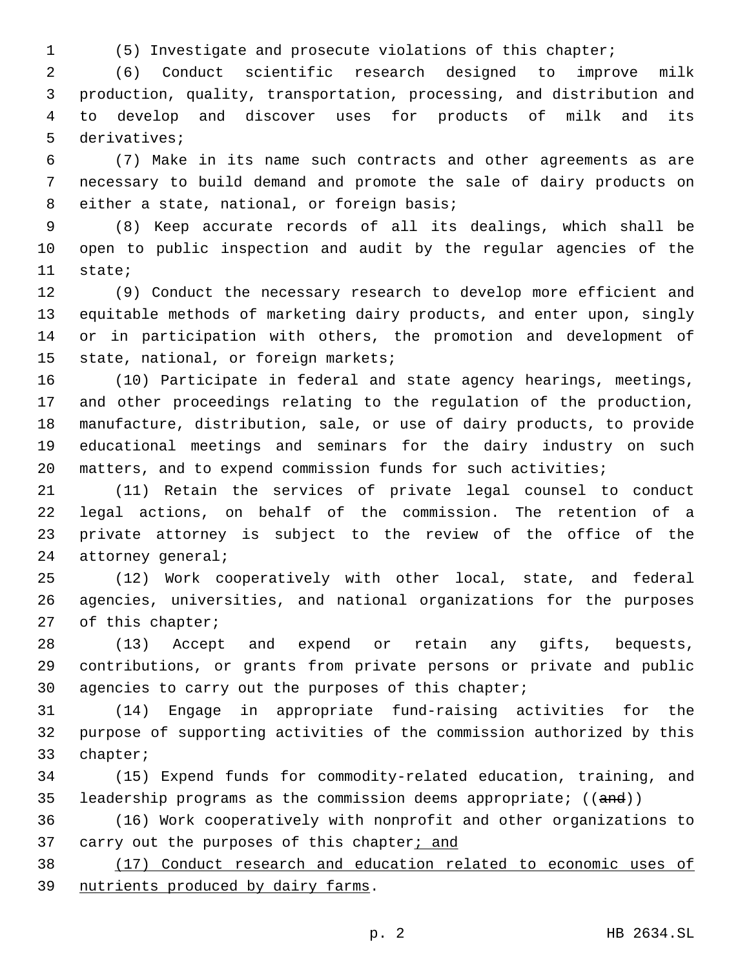(5) Investigate and prosecute violations of this chapter;

 (6) Conduct scientific research designed to improve milk production, quality, transportation, processing, and distribution and to develop and discover uses for products of milk and its 5 derivatives;

 (7) Make in its name such contracts and other agreements as are necessary to build demand and promote the sale of dairy products on 8 either a state, national, or foreign basis;

 (8) Keep accurate records of all its dealings, which shall be open to public inspection and audit by the regular agencies of the 11 state;

 (9) Conduct the necessary research to develop more efficient and equitable methods of marketing dairy products, and enter upon, singly or in participation with others, the promotion and development of 15 state, national, or foreign markets;

 (10) Participate in federal and state agency hearings, meetings, and other proceedings relating to the regulation of the production, manufacture, distribution, sale, or use of dairy products, to provide educational meetings and seminars for the dairy industry on such matters, and to expend commission funds for such activities;

 (11) Retain the services of private legal counsel to conduct legal actions, on behalf of the commission. The retention of a private attorney is subject to the review of the office of the 24 attorney general;

 (12) Work cooperatively with other local, state, and federal agencies, universities, and national organizations for the purposes 27 of this chapter;

 (13) Accept and expend or retain any gifts, bequests, contributions, or grants from private persons or private and public agencies to carry out the purposes of this chapter;

 (14) Engage in appropriate fund-raising activities for the purpose of supporting activities of the commission authorized by this 33 chapter;

 (15) Expend funds for commodity-related education, training, and 35 leadership programs as the commission deems appropriate; ((and))

 (16) Work cooperatively with nonprofit and other organizations to 37 carry out the purposes of this chapter; and

 (17) Conduct research and education related to economic uses of 39 nutrients produced by dairy farms.